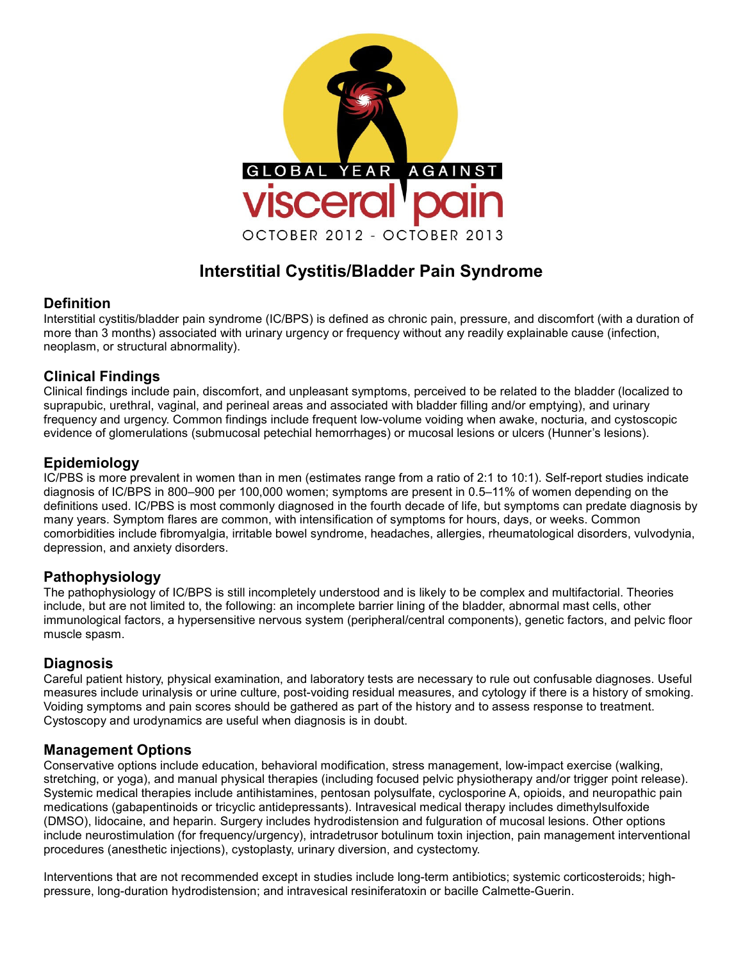

# **Interstitial Cystitis/Bladder Pain Syndrome**

#### **Definition**

Interstitial cystitis/bladder pain syndrome (IC/BPS) is defined as chronic pain, pressure, and discomfort (with a duration of more than 3 months) associated with urinary urgency or frequency without any readily explainable cause (infection, neoplasm, or structural abnormality).

# **Clinical Findings**

Clinical findings include pain, discomfort, and unpleasant symptoms, perceived to be related to the bladder (localized to suprapubic, urethral, vaginal, and perineal areas and associated with bladder filling and/or emptying), and urinary frequency and urgency. Common findings include frequent low-volume voiding when awake, nocturia, and cystoscopic evidence of glomerulations (submucosal petechial hemorrhages) or mucosal lesions or ulcers (Hunner's lesions).

#### **Epidemiology**

IC/PBS is more prevalent in women than in men (estimates range from a ratio of 2:1 to 10:1). Self-report studies indicate diagnosis of IC/BPS in 800–900 per 100,000 women; symptoms are present in 0.5–11% of women depending on the definitions used. IC/PBS is most commonly diagnosed in the fourth decade of life, but symptoms can predate diagnosis by many years. Symptom flares are common, with intensification of symptoms for hours, days, or weeks. Common comorbidities include fibromyalgia, irritable bowel syndrome, headaches, allergies, rheumatological disorders, vulvodynia, depression, and anxiety disorders.

# **Pathophysiology**

The pathophysiology of IC/BPS is still incompletely understood and is likely to be complex and multifactorial. Theories include, but are not limited to, the following: an incomplete barrier lining of the bladder, abnormal mast cells, other immunological factors, a hypersensitive nervous system (peripheral/central components), genetic factors, and pelvic floor muscle spasm.

# **Diagnosis**

Careful patient history, physical examination, and laboratory tests are necessary to rule out confusable diagnoses. Useful measures include urinalysis or urine culture, post-voiding residual measures, and cytology if there is a history of smoking. Voiding symptoms and pain scores should be gathered as part of the history and to assess response to treatment. Cystoscopy and urodynamics are useful when diagnosis is in doubt.

#### **Management Options**

Conservative options include education, behavioral modification, stress management, low-impact exercise (walking, stretching, or yoga), and manual physical therapies (including focused pelvic physiotherapy and/or trigger point release). Systemic medical therapies include antihistamines, pentosan polysulfate, cyclosporine A, opioids, and neuropathic pain medications (gabapentinoids or tricyclic antidepressants). Intravesical medical therapy includes dimethylsulfoxide (DMSO), lidocaine, and heparin. Surgery includes hydrodistension and fulguration of mucosal lesions. Other options include neurostimulation (for frequency/urgency), intradetrusor botulinum toxin injection, pain management interventional procedures (anesthetic injections), cystoplasty, urinary diversion, and cystectomy.

Interventions that are not recommended except in studies include long-term antibiotics; systemic corticosteroids; highpressure, long-duration hydrodistension; and intravesical resiniferatoxin or bacille Calmette-Guerin.